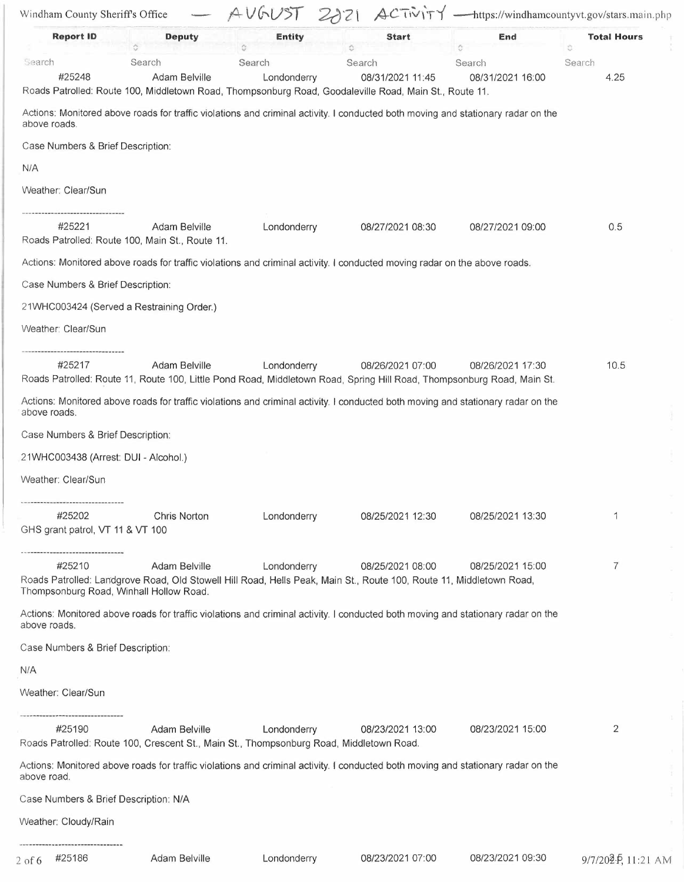| Windham County Sheriff's Office                                                                   |                         |                       | AUGUST 2021 ACTIVITY                                                                                                                       |                            | -https://windhamcountyvt.gov/stars.main.php |
|---------------------------------------------------------------------------------------------------|-------------------------|-----------------------|--------------------------------------------------------------------------------------------------------------------------------------------|----------------------------|---------------------------------------------|
| <b>Report ID</b>                                                                                  | <b>Deputy</b>           | <b>Entity</b>         | <b>Start</b>                                                                                                                               | End                        | <b>Total Hours</b><br>Ö.                    |
| Search<br>#25248                                                                                  | Search<br>Adam Belville | Search<br>Londonderry | Search<br>08/31/2021 11:45<br>Roads Patrolled: Route 100, Middletown Road, Thompsonburg Road, Goodaleville Road, Main St., Route 11.       | Search<br>08/31/2021 16:00 | Search<br>4.25                              |
| above roads.                                                                                      |                         |                       | Actions: Monitored above roads for traffic violations and criminal activity. I conducted both moving and stationary radar on the           |                            |                                             |
| Case Numbers & Brief Description:                                                                 |                         |                       |                                                                                                                                            |                            |                                             |
| N/A                                                                                               |                         |                       |                                                                                                                                            |                            |                                             |
| Weather: Clear/Sun                                                                                |                         |                       |                                                                                                                                            |                            |                                             |
| #25221<br>Roads Patrolled: Route 100, Main St., Route 11.                                         | Adam Belville           | Londonderry           | 08/27/2021 08:30                                                                                                                           | 08/27/2021 09:00           | 0.5                                         |
|                                                                                                   |                         |                       | Actions: Monitored above roads for traffic violations and criminal activity. I conducted moving radar on the above roads.                  |                            |                                             |
| Case Numbers & Brief Description:                                                                 |                         |                       |                                                                                                                                            |                            |                                             |
| 21WHC003424 (Served a Restraining Order.)                                                         |                         |                       |                                                                                                                                            |                            |                                             |
| Weather: Clear/Sun                                                                                |                         |                       |                                                                                                                                            |                            |                                             |
| #25217                                                                                            | Adam Belville           | Londonderry           | 08/26/2021 07:00<br>Roads Patrolled: Route 11, Route 100, Little Pond Road, Middletown Road, Spring Hill Road, Thompsonburg Road, Main St. | 08/26/2021 17:30           | 10.5                                        |
| above roads.                                                                                      |                         |                       | Actions: Monitored above roads for traffic violations and criminal activity. I conducted both moving and stationary radar on the           |                            |                                             |
| Case Numbers & Brief Description:                                                                 |                         |                       |                                                                                                                                            |                            |                                             |
| 21WHC003438 (Arrest: DUI - Alcohol.)                                                              |                         |                       |                                                                                                                                            |                            |                                             |
| Weather: Clear/Sun                                                                                |                         |                       |                                                                                                                                            |                            |                                             |
| #25202<br>GHS grant patrol, VT 11 & VT 100                                                        | Chris Norton            | Londonderry           | 08/25/2021 12:30                                                                                                                           | 08/25/2021 13:30           |                                             |
| #25210<br>Thompsonburg Road, Winhall Hollow Road.                                                 | Adam Belville           | Londonderry           | 08/25/2021 08:00<br>Roads Patrolled: Landgrove Road, Old Stowell Hill Road, Hells Peak, Main St., Route 100, Route 11, Middletown Road,    | 08/25/2021 15:00           | $\overline{7}$                              |
| above roads.                                                                                      |                         |                       | Actions: Monitored above roads for traffic violations and criminal activity. I conducted both moving and stationary radar on the           |                            |                                             |
| Case Numbers & Brief Description:                                                                 |                         |                       |                                                                                                                                            |                            |                                             |
| N/A                                                                                               |                         |                       |                                                                                                                                            |                            |                                             |
| Weather: Clear/Sun                                                                                |                         |                       |                                                                                                                                            |                            |                                             |
| #25190<br>Roads Patrolled: Route 100, Crescent St., Main St., Thompsonburg Road, Middletown Road. | Adam Belville           | Londonderry           | 08/23/2021 13:00                                                                                                                           | 08/23/2021 15:00           | 2                                           |
| above road.                                                                                       |                         |                       | Actions: Monitored above roads for traffic violations and criminal activity. I conducted both moving and stationary radar on the           |                            |                                             |
| Case Numbers & Brief Description: N/A                                                             |                         |                       |                                                                                                                                            |                            |                                             |
| Weather: Cloudy/Rain                                                                              |                         |                       |                                                                                                                                            |                            |                                             |
| 2 of 6 #25186                                                                                     | Adam Belville           | Londonderry           | 08/23/2021 07:00                                                                                                                           | 08/23/2021 09:30           | 9/7/202-P, 11:21 AM                         |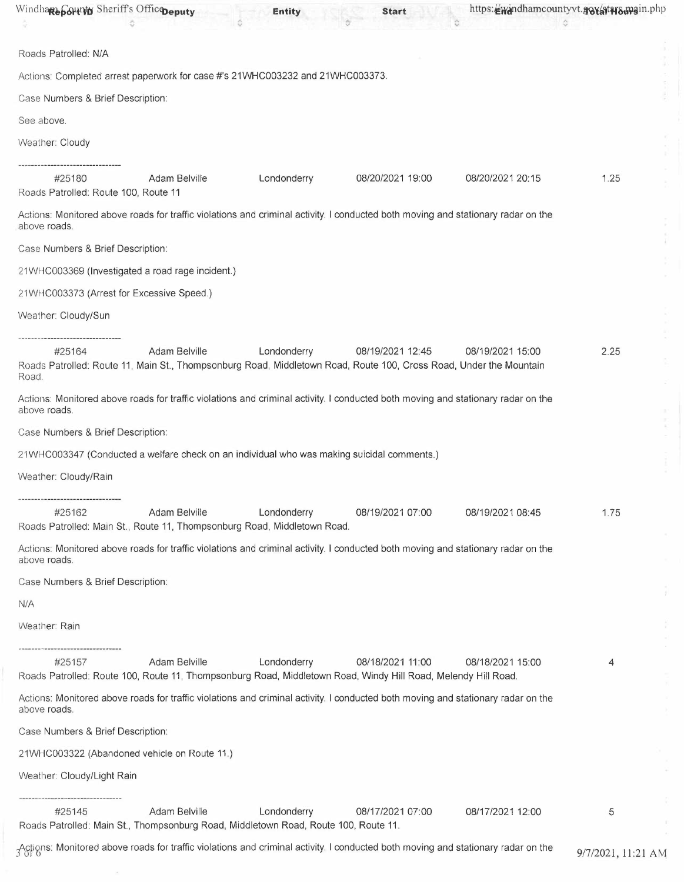| Windhare both of Sheriff's Office peputy       |                                                                                                      | <b>Entity</b> | <b>Start</b>                                                                                                                           |                  | https://windhamcountyvt.gov/atwo.wain.php |
|------------------------------------------------|------------------------------------------------------------------------------------------------------|---------------|----------------------------------------------------------------------------------------------------------------------------------------|------------------|-------------------------------------------|
| Roads Patrolled: N/A                           |                                                                                                      |               |                                                                                                                                        |                  |                                           |
|                                                | Actions: Completed arrest paperwork for case #'s 21WHC003232 and 21WHC003373.                        |               |                                                                                                                                        |                  |                                           |
| Case Numbers & Brief Description:              |                                                                                                      |               |                                                                                                                                        |                  |                                           |
| See above.                                     |                                                                                                      |               |                                                                                                                                        |                  |                                           |
| Weather: Cloudy                                |                                                                                                      |               |                                                                                                                                        |                  |                                           |
| #25180<br>Roads Patrolled: Route 100, Route 11 | Adam Belville                                                                                        | Londonderry   | 08/20/2021 19:00                                                                                                                       | 08/20/2021 20:15 | 1.25                                      |
| above roads.                                   |                                                                                                      |               | Actions: Monitored above roads for traffic violations and criminal activity. I conducted both moving and stationary radar on the       |                  |                                           |
| Case Numbers & Brief Description:              |                                                                                                      |               |                                                                                                                                        |                  |                                           |
|                                                | 21WHC003369 (Investigated a road rage incident.)                                                     |               |                                                                                                                                        |                  |                                           |
| 21WHC003373 (Arrest for Excessive Speed.)      |                                                                                                      |               |                                                                                                                                        |                  |                                           |
| Weather: Cloudy/Sun                            |                                                                                                      |               |                                                                                                                                        |                  |                                           |
| #25164<br>Road.                                | <b>Adam Belville</b>                                                                                 | Londonderry   | 08/19/2021 12:45<br>Roads Patrolled: Route 11, Main St., Thompsonburg Road, Middletown Road, Route 100, Cross Road, Under the Mountain | 08/19/2021 15:00 | 2.25                                      |
| above roads.                                   |                                                                                                      |               | Actions: Monitored above roads for traffic violations and criminal activity. I conducted both moving and stationary radar on the       |                  |                                           |
| Case Numbers & Brief Description:              |                                                                                                      |               |                                                                                                                                        |                  |                                           |
|                                                | 21WHC003347 (Conducted a welfare check on an individual who was making suicidal comments.)           |               |                                                                                                                                        |                  |                                           |
| Weather: Cloudy/Rain                           |                                                                                                      |               |                                                                                                                                        |                  |                                           |
| #25162                                         | Adam Belville<br>Roads Patrolled: Main St., Route 11, Thompsonburg Road, Middletown Road.            | Londonderry   | 08/19/2021 07:00                                                                                                                       | 08/19/2021 08:45 | 1.75                                      |
| above roads.                                   |                                                                                                      |               | Actions: Monitored above roads for traffic violations and criminal activity. I conducted both moving and stationary radar on the       |                  |                                           |
| Case Numbers & Brief Description:              |                                                                                                      |               |                                                                                                                                        |                  |                                           |
| N/A                                            |                                                                                                      |               |                                                                                                                                        |                  |                                           |
| Weather: Rain                                  |                                                                                                      |               |                                                                                                                                        |                  |                                           |
| ------------------------<br>#25157             | Adam Belville                                                                                        | Londonderry   | 08/18/2021 11:00<br>Roads Patrolled: Route 100, Route 11, Thompsonburg Road, Middletown Road, Windy Hill Road, Melendy Hill Road.      | 08/18/2021 15:00 | 4                                         |
| above roads.                                   |                                                                                                      |               | Actions: Monitored above roads for traffic violations and criminal activity. I conducted both moving and stationary radar on the       |                  |                                           |
| Case Numbers & Brief Description:              |                                                                                                      |               |                                                                                                                                        |                  |                                           |
|                                                | 21WHC003322 (Abandoned vehicle on Route 11.)                                                         |               |                                                                                                                                        |                  |                                           |
| Weather: Cloudy/Light Rain                     |                                                                                                      |               |                                                                                                                                        |                  |                                           |
| #25145                                         | Adam Belville<br>Roads Patrolled: Main St., Thompsonburg Road, Middletown Road, Route 100, Route 11. | Londonderry   | 08/17/2021 07:00                                                                                                                       | 08/17/2021 12:00 | 5                                         |
|                                                |                                                                                                      |               | Actions: Monitored above roads for traffic violations and criminal activity. I conducted both moving and stationary radar on the       |                  | 9/7/2021, 11:21 AM                        |

 $\mathbb{R}^n$  . The set of  $\mathbb{R}^n$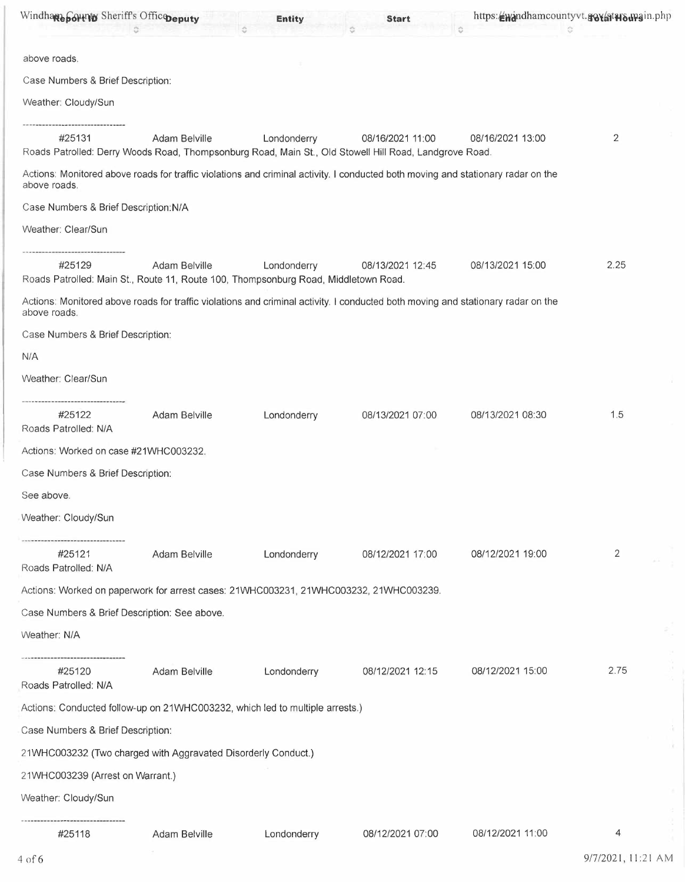| Windhare Sounty Sheriff's Officepeputy                                                        |               | <b>Entity</b> | <b>Start</b>                                                                                                                     | https://windhamcountyvt.gov/atwo.wain.php<br>$\hat{C}$ |                |
|-----------------------------------------------------------------------------------------------|---------------|---------------|----------------------------------------------------------------------------------------------------------------------------------|--------------------------------------------------------|----------------|
| above roads.                                                                                  |               |               |                                                                                                                                  |                                                        |                |
| Case Numbers & Brief Description:                                                             |               |               |                                                                                                                                  |                                                        |                |
| Weather: Cloudy/Sun                                                                           |               |               |                                                                                                                                  |                                                        |                |
| #25131                                                                                        | Adam Belville | Londonderry   | 08/16/2021 11:00<br>Roads Patrolled: Derry Woods Road, Thompsonburg Road, Main St., Old Stowell Hill Road, Landgrove Road.       | 08/16/2021 13:00                                       | $\overline{2}$ |
| above roads.                                                                                  |               |               | Actions: Monitored above roads for traffic violations and criminal activity. I conducted both moving and stationary radar on the |                                                        |                |
| Case Numbers & Brief Description: N/A                                                         |               |               |                                                                                                                                  |                                                        |                |
| Weather: Clear/Sun                                                                            |               |               |                                                                                                                                  |                                                        |                |
| #25129<br>Roads Patrolled: Main St., Route 11, Route 100, Thompsonburg Road, Middletown Road. | Adam Belville | Londonderry   | 08/13/2021 12:45                                                                                                                 | 08/13/2021 15:00                                       | 2.25           |
| above roads.                                                                                  |               |               | Actions: Monitored above roads for traffic violations and criminal activity. I conducted both moving and stationary radar on the |                                                        |                |
| Case Numbers & Brief Description:                                                             |               |               |                                                                                                                                  |                                                        |                |
| N/A                                                                                           |               |               |                                                                                                                                  |                                                        |                |
| Weather: Clear/Sun                                                                            |               |               |                                                                                                                                  |                                                        |                |
| #25122<br>Roads Patrolled: N/A                                                                | Adam Belville | Londonderry   | 08/13/2021 07:00                                                                                                                 | 08/13/2021 08:30                                       | 1.5            |
| Actions: Worked on case #21WHC003232.                                                         |               |               |                                                                                                                                  |                                                        |                |
| Case Numbers & Brief Description:                                                             |               |               |                                                                                                                                  |                                                        |                |
| See above.                                                                                    |               |               |                                                                                                                                  |                                                        |                |
| Weather: Cloudy/Sun                                                                           |               |               |                                                                                                                                  |                                                        |                |
| #25121<br>Roads Patrolled: N/A                                                                | Adam Belville | Londonderry   | 08/12/2021 17:00                                                                                                                 | 08/12/2021 19:00                                       | 2              |
| Actions: Worked on paperwork for arrest cases: 21WHC003231, 21WHC003232, 21WHC003239.         |               |               |                                                                                                                                  |                                                        |                |
| Case Numbers & Brief Description: See above.                                                  |               |               |                                                                                                                                  |                                                        |                |
| Weather: N/A                                                                                  |               |               |                                                                                                                                  |                                                        |                |
| -------------------------------<br>#25120<br>Roads Patrolled: N/A                             | Adam Belville | Londonderry   | 08/12/2021 12:15                                                                                                                 | 08/12/2021 15:00                                       | 2.75           |
| Actions: Conducted follow-up on 21WHC003232, which led to multiple arrests.)                  |               |               |                                                                                                                                  |                                                        |                |
| Case Numbers & Brief Description:                                                             |               |               |                                                                                                                                  |                                                        |                |
| 21WHC003232 (Two charged with Aggravated Disorderly Conduct.)                                 |               |               |                                                                                                                                  |                                                        |                |
| 21WHC003239 (Arrest on Warrant.)                                                              |               |               |                                                                                                                                  |                                                        |                |
| Weather: Cloudy/Sun                                                                           |               |               |                                                                                                                                  |                                                        |                |
| #25118                                                                                        | Adam Belville | Londonderry   | 08/12/2021 07:00                                                                                                                 | 08/12/2021 11:00                                       | 4              |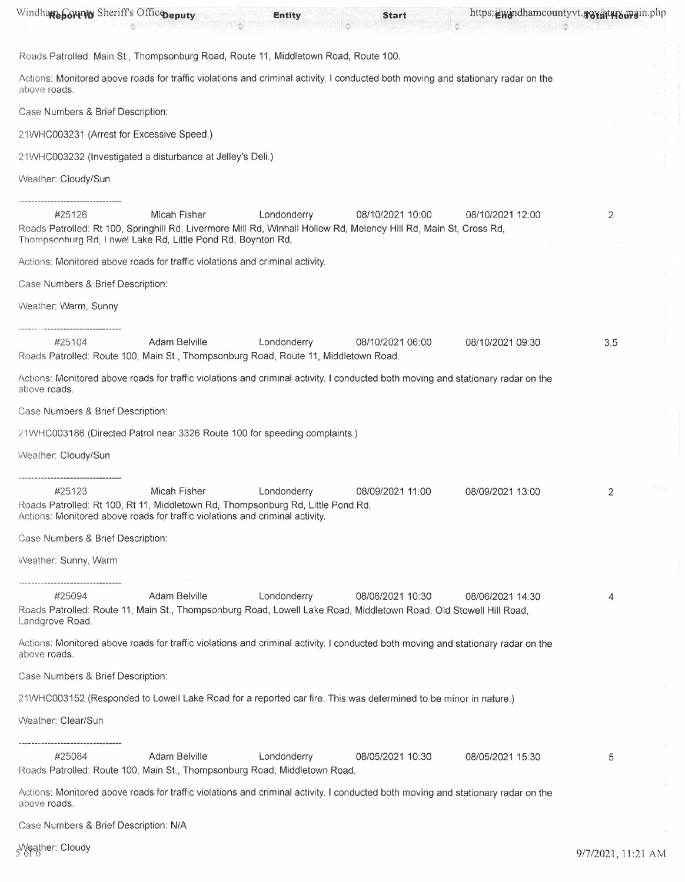| Windhare Sounty Sheriff's Officepeputy                                                                                                                                                     |               | <b>Entity</b> | <b>Start</b>     | https://windhamcountyvt.gov/atwamain.php |     |
|--------------------------------------------------------------------------------------------------------------------------------------------------------------------------------------------|---------------|---------------|------------------|------------------------------------------|-----|
| Roads Patrolled: Main St., Thompsonburg Road, Route 11, Middletown Road, Route 100.                                                                                                        |               |               |                  |                                          |     |
| Actions: Monitored above roads for traffic violations and criminal activity. I conducted both moving and stationary radar on the<br>above roads.                                           |               |               |                  |                                          |     |
| Case Numbers & Brief Description:                                                                                                                                                          |               |               |                  |                                          |     |
| 21WHC003231 (Arrest for Excessive Speed.)                                                                                                                                                  |               |               |                  |                                          |     |
| 21WHC003232 (Investigated a disturbance at Jelley's Deli.)                                                                                                                                 |               |               |                  |                                          |     |
| Weather: Cloudy/Sun                                                                                                                                                                        |               |               |                  |                                          |     |
| #25126<br>Roads Patrolled: Rt 100, Springhill Rd, Livermore Mill Rd, Winhall Hollow Rd, Melendy Hill Rd, Main St, Cross Rd,<br>Thompsonburg Rd, Lowel Lake Rd, Little Pond Rd, Boynton Rd, | Micah Fisher  | Londonderry   | 08/10/2021 10:00 | 08/10/2021 12:00                         | 2   |
| Actions: Monitored above roads for traffic violations and criminal activity.                                                                                                               |               |               |                  |                                          |     |
| Case Numbers & Brief Description:                                                                                                                                                          |               |               |                  |                                          |     |
| Weather: Warm, Sunny                                                                                                                                                                       |               |               |                  |                                          |     |
| #25104<br>Roads Patrolled: Route 100, Main St., Thompsonburg Road, Route 11, Middletown Road.                                                                                              | Adam Belville | Londonderry   | 08/10/2021 06:00 | 08/10/2021 09:30                         | 3.5 |
| Actions: Monitored above roads for traffic violations and criminal activity. I conducted both moving and stationary radar on the<br>above roads.                                           |               |               |                  |                                          |     |
| Case Numbers & Brief Description:                                                                                                                                                          |               |               |                  |                                          |     |
| 21WHC003186 (Directed Patrol near 3326 Route 100 for speeding complaints.)                                                                                                                 |               |               |                  |                                          |     |
| Weather: Cloudy/Sun                                                                                                                                                                        |               |               |                  |                                          |     |
|                                                                                                                                                                                            |               |               |                  |                                          |     |
| #25123<br>Roads Patrolled: Rt 100, Rt 11, Middletown Rd, Thompsonburg Rd, Little Pond Rd,<br>Actions: Monitored above roads for traffic violations and criminal activity.                  | Micah Fisher  | Londonderry   | 08/09/2021 11:00 | 08/09/2021 13:00                         |     |
| Case Numbers & Brief Description:                                                                                                                                                          |               |               |                  |                                          |     |
| Weather: Sunny, Warm                                                                                                                                                                       |               |               |                  |                                          |     |
|                                                                                                                                                                                            |               |               |                  |                                          |     |
| #25094<br>Roads Patrolled: Route 11, Main St., Thompsonburg Road, Lowell Lake Road, Middletown Road, Old Stowell Hill Road,<br>Landgrove Road.                                             | Adam Belville | Londonderry   | 08/06/2021 10:30 | 08/06/2021 14:30                         | 4   |
| Actions: Monitored above roads for traffic violations and criminal activity. I conducted both moving and stationary radar on the<br>above roads.                                           |               |               |                  |                                          |     |
| Case Numbers & Brief Description:                                                                                                                                                          |               |               |                  |                                          |     |
| 21WHC003152 (Responded to Lowell Lake Road for a reported car fire. This was determined to be minor in nature.)                                                                            |               |               |                  |                                          |     |
| Weather: Clear/Sun                                                                                                                                                                         |               |               |                  |                                          |     |
|                                                                                                                                                                                            |               |               |                  |                                          |     |
| #25084<br>Roads Patrolled: Route 100, Main St., Thompsonburg Road, Middletown Road.                                                                                                        | Adam Belville | Londonderry   | 08/05/2021 10:30 | 08/05/2021 15:30                         | 5   |
| Actions: Monitored above roads for traffic violations and criminal activity. I conducted both moving and stationary radar on the<br>above roads.                                           |               |               |                  |                                          |     |
| Case Numbers & Brief Description: N/A                                                                                                                                                      |               |               |                  |                                          |     |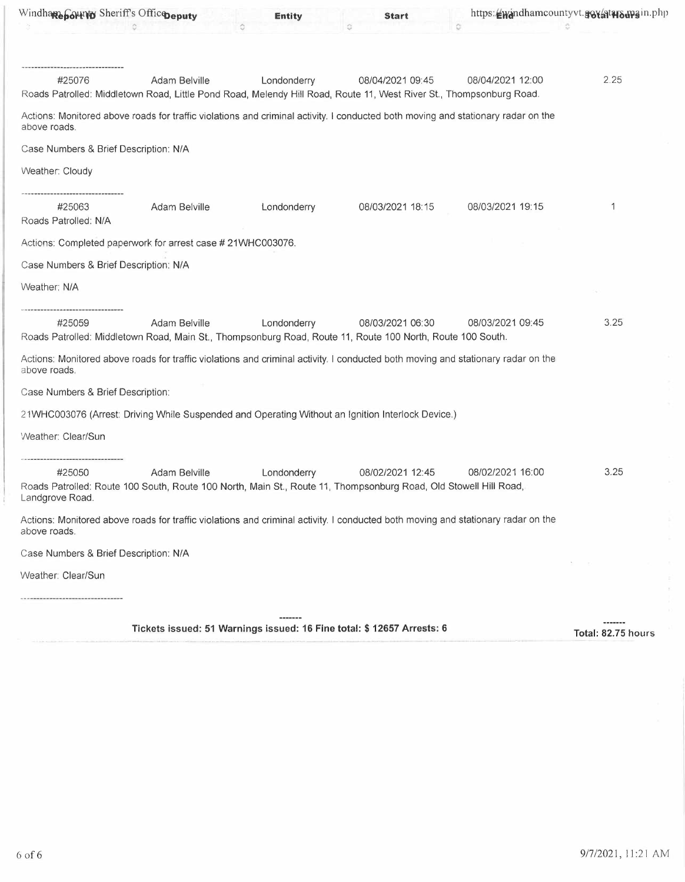| Windhare bound Sheriff's Officepeputy |                                                             | <b>Entity</b> | <b>Start</b>                                                                                                                            |                  | https://windhamcountyvt.gov/atwo.wain.php |
|---------------------------------------|-------------------------------------------------------------|---------------|-----------------------------------------------------------------------------------------------------------------------------------------|------------------|-------------------------------------------|
| #25076                                | Adam Belville                                               | Londonderry   | 08/04/2021 09:45<br>Roads Patrolled: Middletown Road, Little Pond Road, Melendy Hill Road, Route 11, West River St., Thompsonburg Road. | 08/04/2021 12:00 | 2.25                                      |
| above roads.                          |                                                             |               | Actions: Monitored above roads for traffic violations and criminal activity. I conducted both moving and stationary radar on the        |                  |                                           |
| Case Numbers & Brief Description: N/A |                                                             |               |                                                                                                                                         |                  |                                           |
| Weather: Cloudy                       |                                                             |               |                                                                                                                                         |                  |                                           |
| #25063<br>Roads Patrolled: N/A        | Adam Belville                                               | Londonderry   | 08/03/2021 18:15                                                                                                                        | 08/03/2021 19:15 | 1                                         |
|                                       | Actions: Completed paperwork for arrest case # 21WHC003076. |               |                                                                                                                                         |                  |                                           |
| Case Numbers & Brief Description: N/A |                                                             |               |                                                                                                                                         |                  |                                           |
| Weather: N/A                          |                                                             |               |                                                                                                                                         |                  |                                           |
| #25059                                | Adam Belville                                               | Londonderry   | 08/03/2021 06:30<br>Roads Patrolled: Middletown Road, Main St., Thompsonburg Road, Route 11, Route 100 North, Route 100 South.          | 08/03/2021 09:45 | 3.25                                      |
| above roads.                          |                                                             |               | Actions: Monitored above roads for traffic violations and criminal activity. I conducted both moving and stationary radar on the        |                  |                                           |
| Case Numbers & Brief Description:     |                                                             |               |                                                                                                                                         |                  |                                           |
|                                       |                                                             |               | 21WHC003076 (Arrest: Driving While Suspended and Operating Without an Ignition Interlock Device.)                                       |                  |                                           |
| Weather: Clear/Sun                    |                                                             |               |                                                                                                                                         |                  |                                           |
| #25050<br>Landgrove Road.             | Adam Belville                                               | Londonderry   | 08/02/2021 12:45<br>Roads Patrolled: Route 100 South, Route 100 North, Main St., Route 11, Thompsonburg Road, Old Stowell Hill Road,    | 08/02/2021 16:00 | 3.25                                      |
| above roads.                          |                                                             |               | Actions: Monitored above roads for traffic violations and criminal activity. I conducted both moving and stationary radar on the        |                  |                                           |
| Case Numbers & Brief Description: N/A |                                                             |               |                                                                                                                                         |                  |                                           |
| Weather: Clear/Sun                    |                                                             |               |                                                                                                                                         |                  |                                           |
|                                       |                                                             |               |                                                                                                                                         |                  |                                           |
|                                       |                                                             | -------       |                                                                                                                                         |                  |                                           |

**Tickets issued: 51 Warnings issued: 16 Fine total:** \$ **12657 Arrests: 6 Total: 82.75 hours**